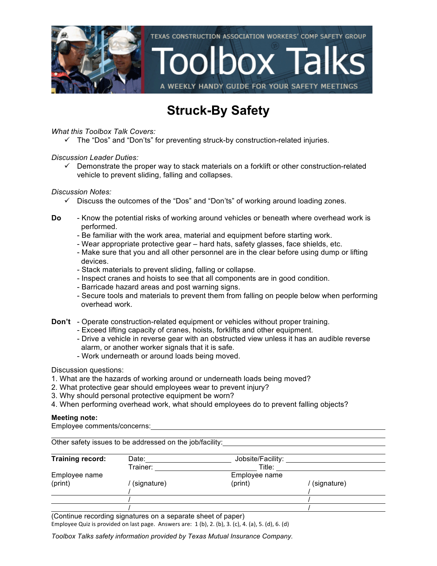

#### **Struck-By Safety**

*What this Toolbox Talk Covers:*

 $\checkmark$  The "Dos" and "Don'ts" for preventing struck-by construction-related injuries.

*Discussion Leader Duties:*

 $\checkmark$  Demonstrate the proper way to stack materials on a forklift or other construction-related vehicle to prevent sliding, falling and collapses.

*Discussion Notes:*

- $\checkmark$  Discuss the outcomes of the "Dos" and "Don'ts" of working around loading zones.
- **Do** Know the potential risks of working around vehicles or beneath where overhead work is performed.
	- Be familiar with the work area, material and equipment before starting work.
	- Wear appropriate protective gear hard hats, safety glasses, face shields, etc.
	- Make sure that you and all other personnel are in the clear before using dump or lifting devices.
	- Stack materials to prevent sliding, falling or collapse.
	- Inspect cranes and hoists to see that all components are in good condition.
	- Barricade hazard areas and post warning signs.
	- Secure tools and materials to prevent them from falling on people below when performing overhead work.
- **Don't** Operate construction-related equipment or vehicles without proper training.
	- Exceed lifting capacity of cranes, hoists, forklifts and other equipment.
	- Drive a vehicle in reverse gear with an obstructed view unless it has an audible reverse alarm, or another worker signals that it is safe.
	- Work underneath or around loads being moved.

Discussion questions:

- 1. What are the hazards of working around or underneath loads being moved?
- 2. What protective gear should employees wear to prevent injury?
- 3. Why should personal protective equipment be worn?
- 4. When performing overhead work, what should employees do to prevent falling objects?

#### **Meeting note:**

Employee comments/concerns:

|                  | Other safety issues to be addressed on the job/facility: |                   |             |
|------------------|----------------------------------------------------------|-------------------|-------------|
| Training record: | Date:                                                    | Jobsite/Facility: |             |
|                  | Trainer:                                                 | Title:            |             |
| Employee name    |                                                          | Employee name     |             |
| (print)          | (signature)                                              | (print)           | (signature) |
|                  |                                                          |                   |             |
|                  |                                                          |                   |             |
|                  |                                                          |                   |             |

(Continue recording signatures on a separate sheet of paper) Employee Quiz is provided on last page. Answers are:  $1$  (b),  $2$ . (b),  $3$ . (c),  $4$ . (a),  $5$ . (d),  $6$ . (d)

*Toolbox Talks safety information provided by Texas Mutual Insurance Company.*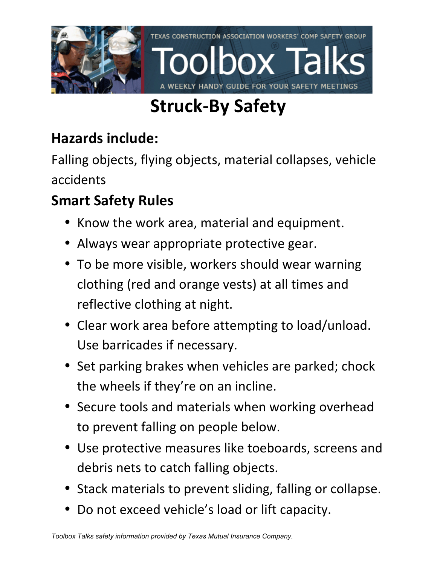

# **Struck-By Safety**

### **Hazards include:**

Falling objects, flying objects, material collapses, vehicle accidents

## **Smart Safety Rules**

- Know the work area, material and equipment.
- Always wear appropriate protective gear.
- To be more visible, workers should wear warning clothing (red and orange vests) at all times and reflective clothing at night.
- Clear work area before attempting to load/unload. Use barricades if necessary.
- Set parking brakes when vehicles are parked; chock the wheels if they're on an incline.
- Secure tools and materials when working overhead to prevent falling on people below.
- Use protective measures like toeboards, screens and debris nets to catch falling objects.
- Stack materials to prevent sliding, falling or collapse.
- Do not exceed vehicle's load or lift capacity.